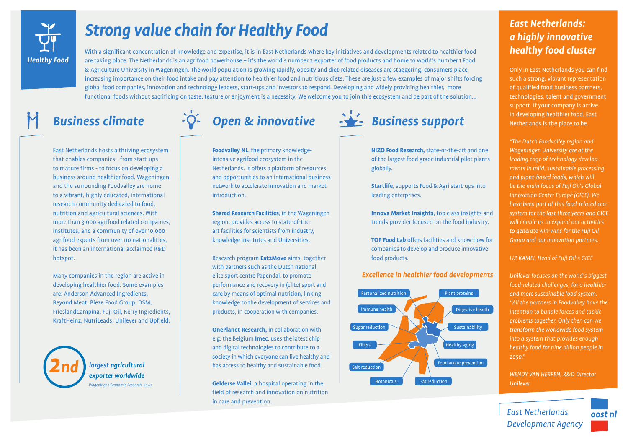

# *Strong value chain for Healthy Food*

With a significant concentration of knowledge and expertise, it is in East Netherlands where key initiatives and developments related to healthier food are taking place. The Netherlands is an agrifood powerhouse – it's the world's number 2 exporter of food products and home to world's number 1 Food & Agriculture University in Wageningen. The world population is growing rapidly, obesity and diet-related diseases are staggering, consumers place increasing importance on their food intake and pay attention to healthier food and nutritious diets. These are just a few examples of major shifts forcing global food companies, innovation and technology leaders, start-ups and investors to respond. Developing and widely providing healthier, more functional foods without sacrificing on taste, texture or enjoyment is a necessity. We welcome you to join this ecosystem and be part of the solution...

East Netherlands hosts a thriving ecosystem that enables companies - from start-ups to mature firms - to focus on developing a business around healthier food. Wageningen and the surrounding Foodvalley are home to a vibrant, highly educated, international research community dedicated to food, nutrition and agricultural sciences. With more than 3,000 agrifood related companies, institutes, and a community of over 10,000 agrifood experts from over 110 nationalities, it has been an international acclaimed R&D hotspot.

Many companies in the region are active in developing healthier food. Some examples are: Anderson Advanced Ingredients, Beyond Meat, Bieze Food Group, DSM, FrieslandCampina, Fuji Oil, Kerry Ingredients, KraftHeinz, NutriLeads, Unilever and Upfield.

> *largest agricultural 2*  $exporter$  *worldwide Wageningen Economic Research, 2020*

**Foodvalley NL**, the primary knowledgeintensive agrifood ecosystem in the Netherlands. It offers a platform of resources and opportunities to an international business network to accelerate innovation and market introduction.

**Shared Research Facilities**, in the Wageningen region, provides access to state-of-theart facilities for scientists from industry, knowledge institutes and Universities.

Research program **Eat2Move** aims, together with partners such as the Dutch national elite sport centre Papendal, to promote performance and recovery in (elite) sport and care by means of optimal nutrition, linking knowledge to the development of services and products, in cooperation with companies.

**OnePlanet Research,** in collaboration with e.g. the Belgium **Imec**, uses the latest chip and digital technologies to contribute to a society in which everyone can live healthy and has access to healthy and sustainable food.

**Gelderse Vallei**, a hospital operating in the field of research and innovation on nutrition in care and prevention.



**NIZO Food Research***,* state-of-the-art and one of the largest food grade industrial pilot plants globally.

**Startlife**, supports Food & Agri start-ups into leading enterprises.

**Innova Market Insights**, top class insights and trends provider focused on the food industry.

**TOP Food Lab** offers facilities and know-how for companies to develop and produce innovative food products.

## *Excellence in healthier food developments*



## *East Netherlands: a highly innovative healthy food cluster*

Only in East Netherlands you can find such a strong, vibrant representation of qualified food business partners, technologies, talent and government support. If your company is active in developing healthier food, East Netherlands is the place to be.

*"The Dutch Foodvalley region and Wageningen University are at the leading edge of technology developments in mild, sustainable processing and plant-based foods, which will be the main focus of Fuji Oil's Global Innovation Center Europe (GICE). We have been part of this food-related ecosystem for the last three years and GICE will enable us to expand our activities to generate win-wins for the Fuji Oil Group and our innovation partners.* 

## *LIZ KAMEI, Head of Fuji Oil's GICE*

*Unilever focuses on the world's biggest food-related challenges, for a healthier and more sustainable food system. ''All the partners in Foodvalley have the intention to bundle forces and tackle problems together. Only then can we transform the worldwide food system into a system that provides enough healthy food for nine billion people in 2050."*

*WENDY VAN HERPEN, R&D Director Unilever*